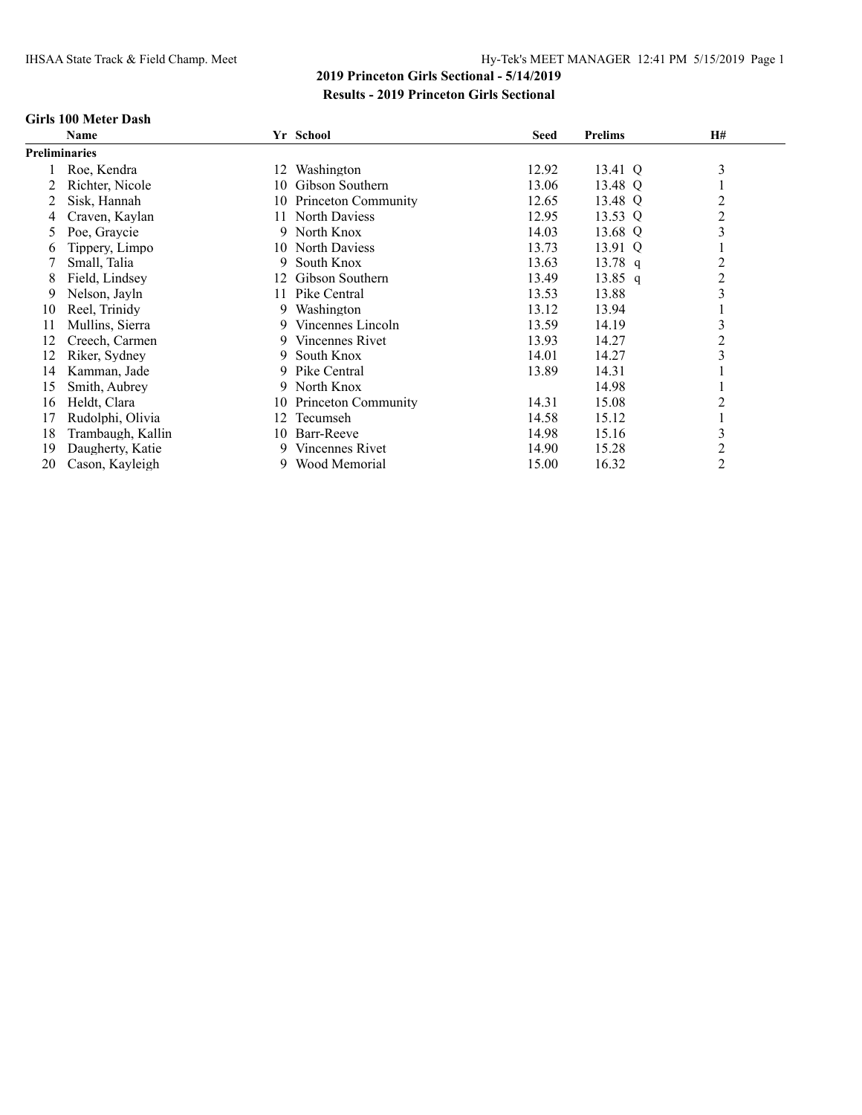#### **Girls 100 Meter Dash**

|                      | Name              |     | Yr School           | <b>Seed</b> | <b>Prelims</b> | H#             |
|----------------------|-------------------|-----|---------------------|-------------|----------------|----------------|
| <b>Preliminaries</b> |                   |     |                     |             |                |                |
|                      | Roe, Kendra       | 12  | Washington          | 12.92       | 13.41 Q        | 3              |
|                      | Richter, Nicole   | 10  | Gibson Southern     | 13.06       | 13.48 Q        |                |
|                      | Sisk, Hannah      | 10  | Princeton Community | 12.65       | 13.48 Q        | $\overline{c}$ |
|                      | Craven, Kaylan    | 11. | North Daviess       | 12.95       | 13.53 Q        | $\overline{c}$ |
| 5                    | Poe, Graycie      |     | 9 North Knox        | 14.03       | 13.68 Q        | 3              |
| 6                    | Tippery, Limpo    | 10  | North Daviess       | 13.73       | 13.91 Q        |                |
|                      | Small, Talia      | 9   | South Knox          | 13.63       | 13.78 q        | 2              |
| 8                    | Field, Lindsey    | 12  | Gibson Southern     | 13.49       | $13.85$ q      | $\overline{c}$ |
| 9                    | Nelson, Jayln     | 11  | Pike Central        | 13.53       | 13.88          | 3              |
| 10                   | Reel, Trinidy     |     | 9 Washington        | 13.12       | 13.94          |                |
| 11                   | Mullins, Sierra   | 9   | Vincennes Lincoln   | 13.59       | 14.19          | 3              |
| 12                   | Creech, Carmen    | 9.  | Vincennes Rivet     | 13.93       | 14.27          | 2              |
| 12                   | Riker, Sydney     | 9   | South Knox          | 14.01       | 14.27          | 3              |
| 14                   | Kamman, Jade      | 9   | Pike Central        | 13.89       | 14.31          |                |
| 15                   | Smith, Aubrey     | 9   | North Knox          |             | 14.98          |                |
| 16                   | Heldt, Clara      | 10  | Princeton Community | 14.31       | 15.08          | 2              |
| 17                   | Rudolphi, Olivia  | 12  | Tecumseh            | 14.58       | 15.12          |                |
| 18                   | Trambaugh, Kallin | 10  | Barr-Reeve          | 14.98       | 15.16          | 3              |
| 19                   | Daugherty, Katie  |     | 9 Vincennes Rivet   | 14.90       | 15.28          | $\overline{c}$ |
| 20                   | Cason, Kayleigh   |     | 9 Wood Memorial     | 15.00       | 16.32          | $\overline{c}$ |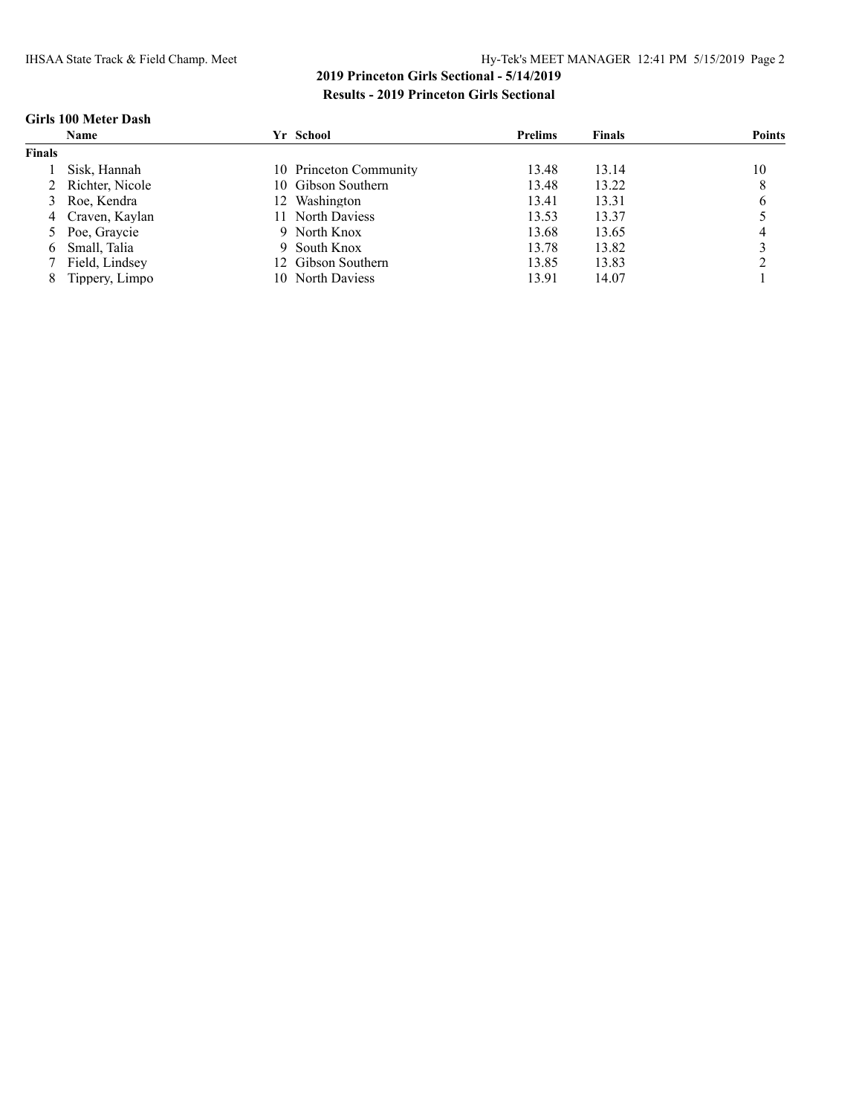### **Girls 100 Meter Dash**

|               | <b>Name</b>       | Yr School              | <b>Prelims</b> | <b>Finals</b> | <b>Points</b> |
|---------------|-------------------|------------------------|----------------|---------------|---------------|
| <b>Finals</b> |                   |                        |                |               |               |
|               | Sisk. Hannah      | 10 Princeton Community | 13.48          | 13.14         | 10            |
|               | 2 Richter, Nicole | 10 Gibson Southern     | 13.48          | 13.22         | 8             |
|               | 3 Roe, Kendra     | 12 Washington          | 13.41          | 13.31         | 6             |
|               | 4 Craven, Kaylan  | 11 North Daviess       | 13.53          | 13.37         |               |
|               | 5 Poe, Graycie    | 9 North Knox           | 13.68          | 13.65         |               |
|               | 6 Small, Talia    | 9 South Knox           | 13.78          | 13.82         |               |
|               | Field, Lindsey    | 12 Gibson Southern     | 13.85          | 13.83         |               |
| 8             | Tippery, Limpo    | North Daviess<br>10.   | 13.91          | 14.07         |               |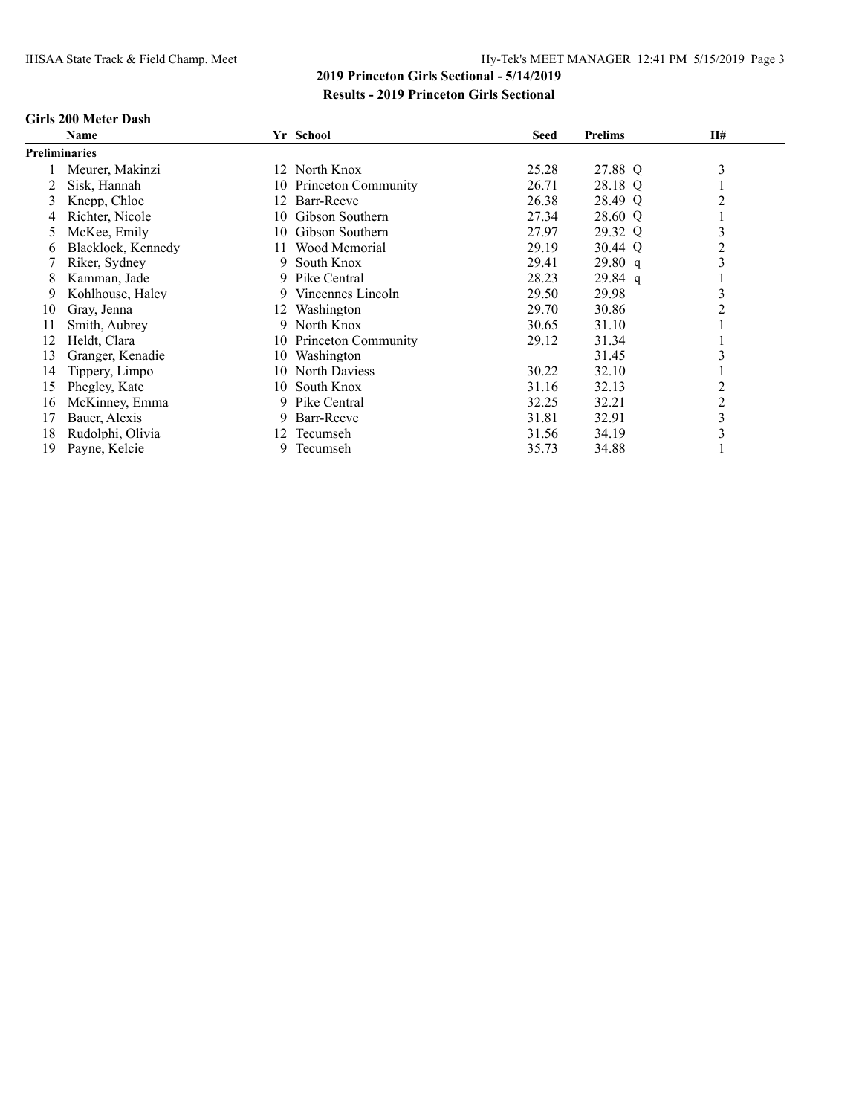#### **Girls 200 Meter Dash**

|                      | Name               |     | Yr School           | <b>Seed</b> | <b>Prelims</b> | H# |  |
|----------------------|--------------------|-----|---------------------|-------------|----------------|----|--|
| <b>Preliminaries</b> |                    |     |                     |             |                |    |  |
|                      | Meurer, Makinzi    |     | 12 North Knox       | 25.28       | 27.88 Q        | 3  |  |
|                      | Sisk, Hannah       | 10  | Princeton Community | 26.71       | 28.18 Q        |    |  |
| 3                    | Knepp, Chloe       | 12  | Barr-Reeve          | 26.38       | 28.49 Q        | 2  |  |
|                      | Richter, Nicole    | 10  | Gibson Southern     | 27.34       | 28.60 Q        |    |  |
| 5                    | McKee, Emily       | 10. | Gibson Southern     | 27.97       | 29.32 Q        | 3  |  |
| b                    | Blacklock, Kennedy | 11  | Wood Memorial       | 29.19       | 30.44 Q        | 2  |  |
|                      | Riker, Sydney      | 9   | South Knox          | 29.41       | 29.80 q        | 3  |  |
| 8                    | Kamman, Jade       | 9   | Pike Central        | 28.23       | $29.84$ q      |    |  |
| 9                    | Kohlhouse, Haley   | 9   | Vincennes Lincoln   | 29.50       | 29.98          | 3  |  |
| 10                   | Gray, Jenna        | 12  | Washington          | 29.70       | 30.86          | 2  |  |
| 11                   | Smith, Aubrey      | 9   | North Knox          | 30.65       | 31.10          |    |  |
| 12                   | Heldt, Clara       | 10  | Princeton Community | 29.12       | 31.34          |    |  |
| 13                   | Granger, Kenadie   | 10  | Washington          |             | 31.45          |    |  |
| 14                   | Tippery, Limpo     | 10  | North Daviess       | 30.22       | 32.10          |    |  |
| 15                   | Phegley, Kate      | 10  | South Knox          | 31.16       | 32.13          | 2  |  |
| 16                   | McKinney, Emma     | 9   | Pike Central        | 32.25       | 32.21          | 2  |  |
| 17                   | Bauer, Alexis      | 9   | Barr-Reeve          | 31.81       | 32.91          | 3  |  |
| 18                   | Rudolphi, Olivia   |     | 12 Tecumseh         | 31.56       | 34.19          | 3  |  |
| 19                   | Payne, Kelcie      | 9   | Tecumseh            | 35.73       | 34.88          |    |  |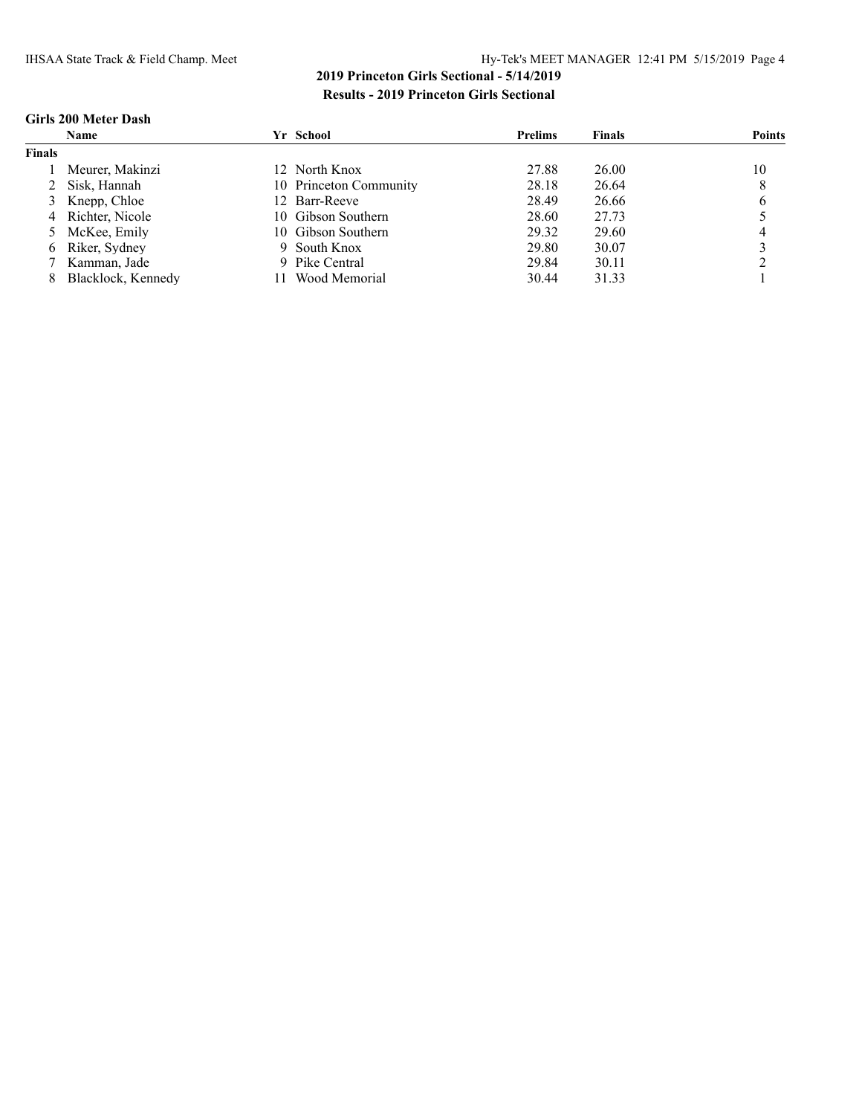### **Girls 200 Meter Dash**

|               | <b>Name</b>        | Yr School              | <b>Prelims</b> | <b>Finals</b> | Points |
|---------------|--------------------|------------------------|----------------|---------------|--------|
| <b>Finals</b> |                    |                        |                |               |        |
|               | Meurer, Makinzi    | 12 North Knox          | 27.88          | 26.00         | 10     |
|               | 2 Sisk, Hannah     | 10 Princeton Community | 28.18          | 26.64         | 8      |
|               | 3 Knepp, Chloe     | 12 Barr-Reeve          | 28.49          | 26.66         | O      |
|               | 4 Richter, Nicole  | 10 Gibson Southern     | 28.60          | 27.73         |        |
|               | 5 McKee, Emily     | 10 Gibson Southern     | 29.32          | 29.60         |        |
|               | 6 Riker, Sydney    | 9 South Knox           | 29.80          | 30.07         |        |
|               | Kamman, Jade       | 9 Pike Central         | 29.84          | 30.11         |        |
|               | Blacklock, Kennedy | Wood Memorial          | 30.44          | 31.33         |        |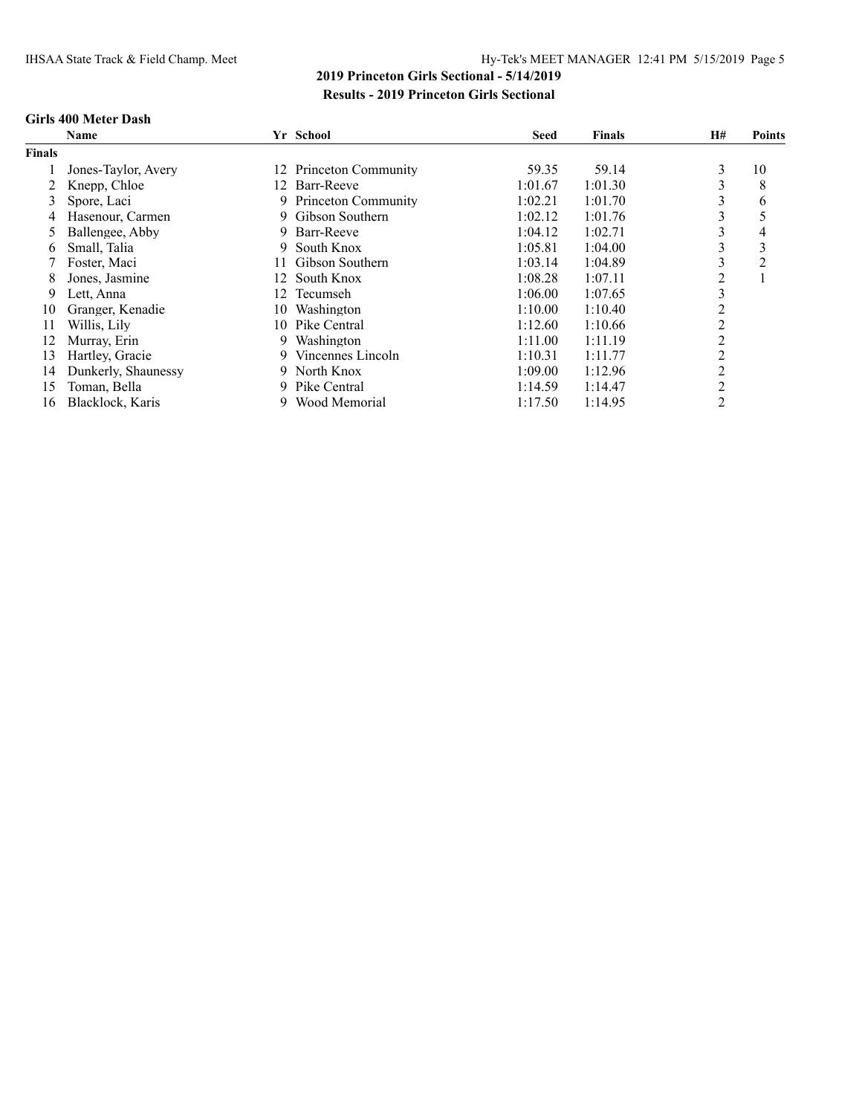#### **Girls 400 Meter Dash**

|               | <b>Name</b>         |     | Yr School              | <b>Seed</b> | <b>Finals</b> | <b>H#</b> | <b>Points</b>  |
|---------------|---------------------|-----|------------------------|-------------|---------------|-----------|----------------|
| <b>Finals</b> |                     |     |                        |             |               |           |                |
|               | Jones-Taylor, Avery |     | 12 Princeton Community | 59.35       | 59.14         | 3         | 10             |
|               | Knepp, Chloe        |     | 12 Barr-Reeve          | 1:01.67     | 1:01.30       | 3         | 8              |
| 3             | Spore, Laci         |     | 9 Princeton Community  | 1:02.21     | 1:01.70       | 3         | 6              |
| 4             | Hasenour, Carmen    | 9.  | Gibson Southern        | 1:02.12     | 1:01.76       | 3         |                |
| 5             | Ballengee, Abby     | 9.  | Barr-Reeve             | 1:04.12     | 1:02.71       | 3         | 4              |
| 6             | Small, Talia        | 9   | South Knox             | 1:05.81     | 1:04.00       | ↑         | 3              |
|               | Foster, Maci        |     | Gibson Southern        | 1:03.14     | 1:04.89       |           | $\overline{2}$ |
| 8             | Jones, Jasmine      | 12. | South Knox             | 1:08.28     | 1:07.11       | 2         |                |
| 9             | Lett, Anna          | 12. | Tecumseh               | 1:06.00     | 1:07.65       | 3         |                |
| 10            | Granger, Kenadie    | 10. | Washington             | 1:10.00     | 1:10.40       | 2         |                |
| 11            | Willis, Lily        | 10. | Pike Central           | 1:12.60     | 1:10.66       | 2         |                |
| 12            | Murray, Erin        | 9.  | Washington             | 1:11.00     | 1:11.19       | 2         |                |
| 13            | Hartley, Gracie     | 9.  | Vincennes Lincoln      | 1:10.31     | 1:11.77       | 2         |                |
| 14            | Dunkerly, Shaunessy | 9.  | North Knox             | 1:09.00     | 1:12.96       | 2         |                |
| 15            | Toman, Bella        | 9   | Pike Central           | 1:14.59     | 1:14.47       | 2         |                |
| 16            | Blacklock, Karis    | 9   | Wood Memorial          | 1:17.50     | 1:14.95       | 2         |                |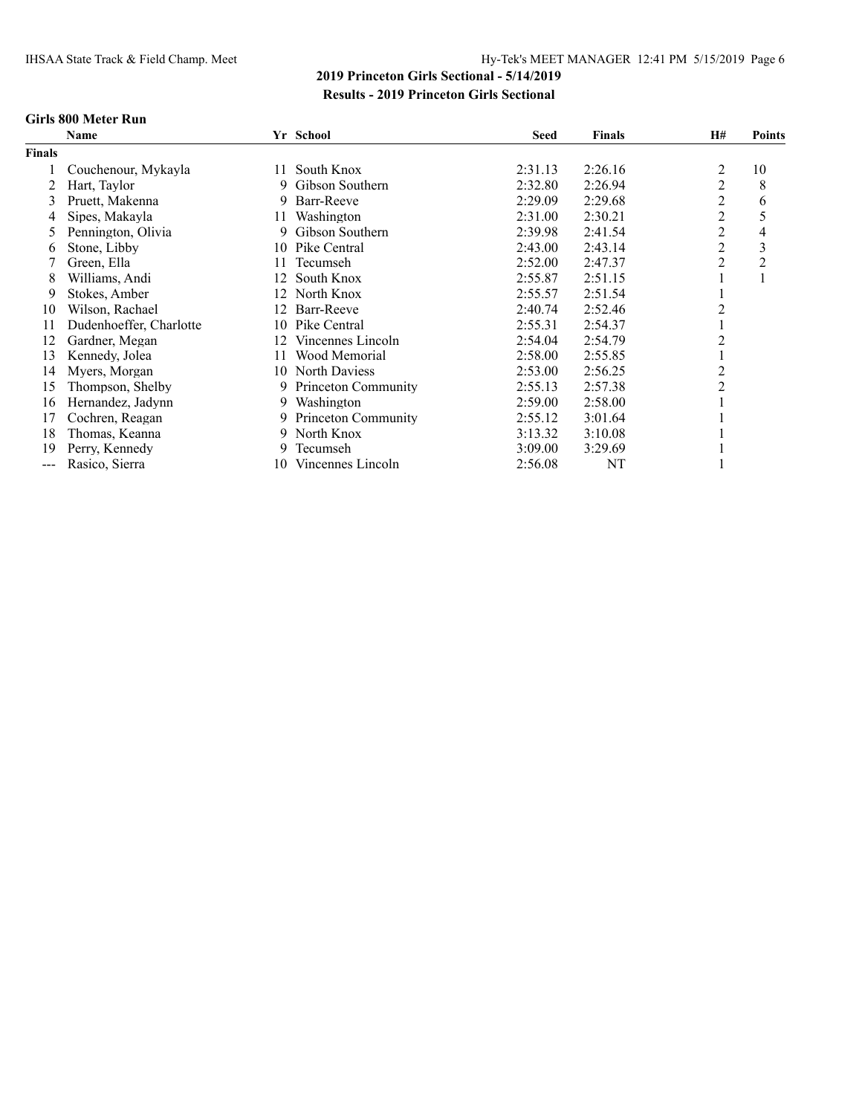#### **Girls 800 Meter Run**

|               | Name                    |     | Yr School             | <b>Seed</b> | <b>Finals</b> | <b>H#</b> | <b>Points</b> |
|---------------|-------------------------|-----|-----------------------|-------------|---------------|-----------|---------------|
| <b>Finals</b> |                         |     |                       |             |               |           |               |
|               | Couchenour, Mykayla     | 11. | South Knox            | 2:31.13     | 2:26.16       | 2         | 10            |
|               | Hart, Taylor            | 9   | Gibson Southern       | 2:32.80     | 2:26.94       | 2         | 8             |
| 3             | Pruett, Makenna         | 9.  | Barr-Reeve            | 2:29.09     | 2:29.68       | 2         | 6             |
| 4             | Sipes, Makayla          | 11  | Washington            | 2:31.00     | 2:30.21       | 2         | 5             |
| 5             | Pennington, Olivia      | 9   | Gibson Southern       | 2:39.98     | 2:41.54       | 2         | 4             |
| 6             | Stone, Libby            |     | 10 Pike Central       | 2:43.00     | 2:43.14       | 2         | 3             |
|               | Green, Ella             | 11. | Tecumseh              | 2:52.00     | 2:47.37       | 2         | 2             |
| 8             | Williams, Andi          | 12  | South Knox            | 2:55.87     | 2:51.15       |           |               |
| 9             | Stokes, Amber           | 12  | North Knox            | 2:55.57     | 2:51.54       |           |               |
| 10            | Wilson, Rachael         | 12. | Barr-Reeve            | 2:40.74     | 2:52.46       |           |               |
| 11            | Dudenhoeffer, Charlotte | 10. | Pike Central          | 2:55.31     | 2:54.37       |           |               |
| 12            | Gardner, Megan          | 12  | Vincennes Lincoln     | 2:54.04     | 2:54.79       |           |               |
| 13            | Kennedy, Jolea          | 11. | Wood Memorial         | 2:58.00     | 2:55.85       |           |               |
| 14            | Myers, Morgan           |     | 10 North Daviess      | 2:53.00     | 2:56.25       |           |               |
| 15            | Thompson, Shelby        | 9.  | Princeton Community   | 2:55.13     | 2:57.38       |           |               |
| 16            | Hernandez, Jadynn       |     | 9 Washington          | 2:59.00     | 2:58.00       |           |               |
| 17            | Cochren, Reagan         |     | 9 Princeton Community | 2:55.12     | 3:01.64       |           |               |
| 18            | Thomas, Keanna          | 9.  | North Knox            | 3:13.32     | 3:10.08       |           |               |
| 19            | Perry, Kennedy          | 9.  | Tecumseh              | 3:09.00     | 3:29.69       |           |               |
| ---           | Rasico, Sierra          | 10  | Vincennes Lincoln     | 2:56.08     | NT            |           |               |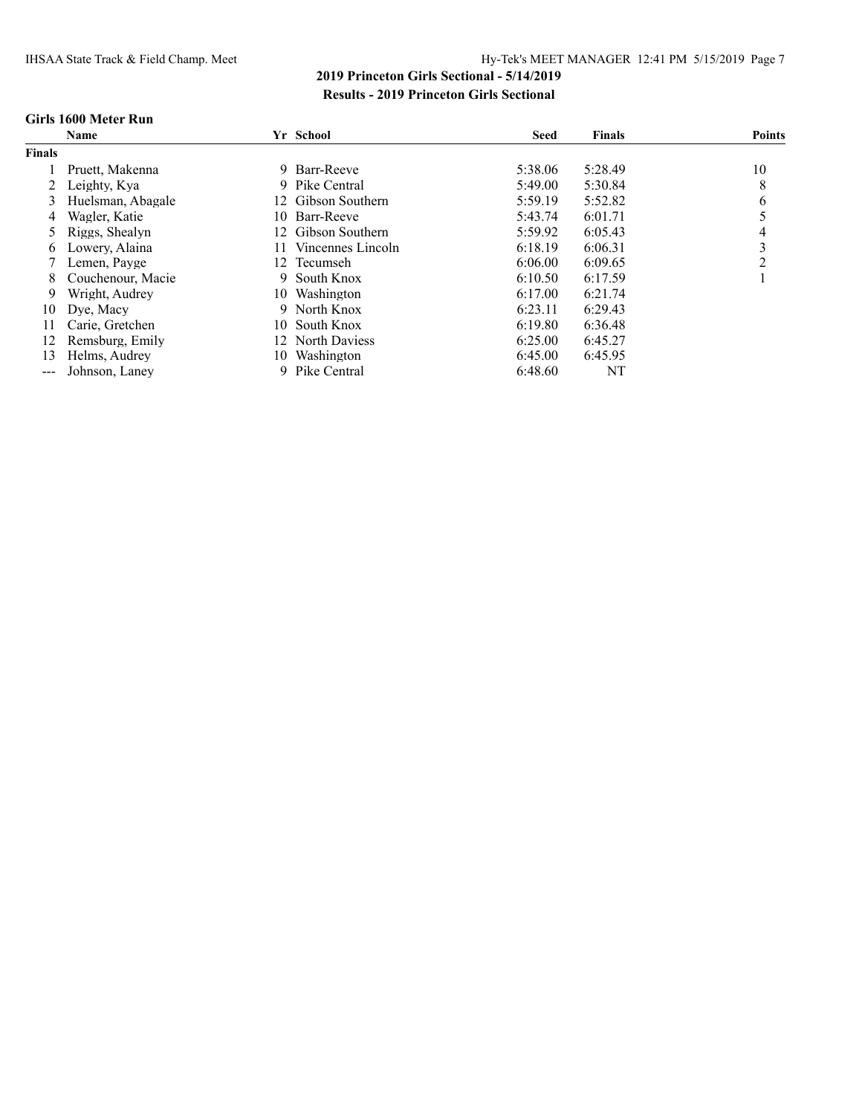#### **Girls 1600 Meter Run**

|                   | <b>Name</b>       |     | Yr School          | <b>Seed</b> | <b>Finals</b> | <b>Points</b> |
|-------------------|-------------------|-----|--------------------|-------------|---------------|---------------|
| <b>Finals</b>     |                   |     |                    |             |               |               |
|                   | Pruett, Makenna   | 9.  | Barr-Reeve         | 5:38.06     | 5:28.49       | 10            |
|                   | Leighty, Kya      |     | 9 Pike Central     | 5:49.00     | 5:30.84       | 8             |
| 3                 | Huelsman, Abagale | 12. | Gibson Southern    | 5:59.19     | 5:52.82       | 6             |
| 4                 | Wagler, Katie     | 10. | Barr-Reeve         | 5:43.74     | 6:01.71       |               |
|                   | Riggs, Shealyn    |     | 12 Gibson Southern | 5:59.92     | 6:05.43       | 4             |
| 6                 | Lowery, Alaina    | 11  | Vincennes Lincoln  | 6:18.19     | 6:06.31       | 3             |
|                   | Lemen, Payge      | 12  | Tecumseh           | 6:06.00     | 6:09.65       | C             |
| 8                 | Couchenour, Macie | 9   | South Knox         | 6:10.50     | 6:17.59       |               |
| 9                 | Wright, Audrey    | 10  | Washington         | 6:17.00     | 6:21.74       |               |
| 10                | Dye, Macy         | 9   | North Knox         | 6:23.11     | 6:29.43       |               |
| 11                | Carie, Gretchen   |     | 10 South Knox      | 6:19.80     | 6:36.48       |               |
| 12                | Remsburg, Emily   |     | 12 North Daviess   | 6:25.00     | 6:45.27       |               |
| 13                | Helms, Audrey     | 10  | Washington         | 6:45.00     | 6:45.95       |               |
| $\qquad \qquad -$ | Johnson, Laney    | -9  | Pike Central       | 6:48.60     | NT            |               |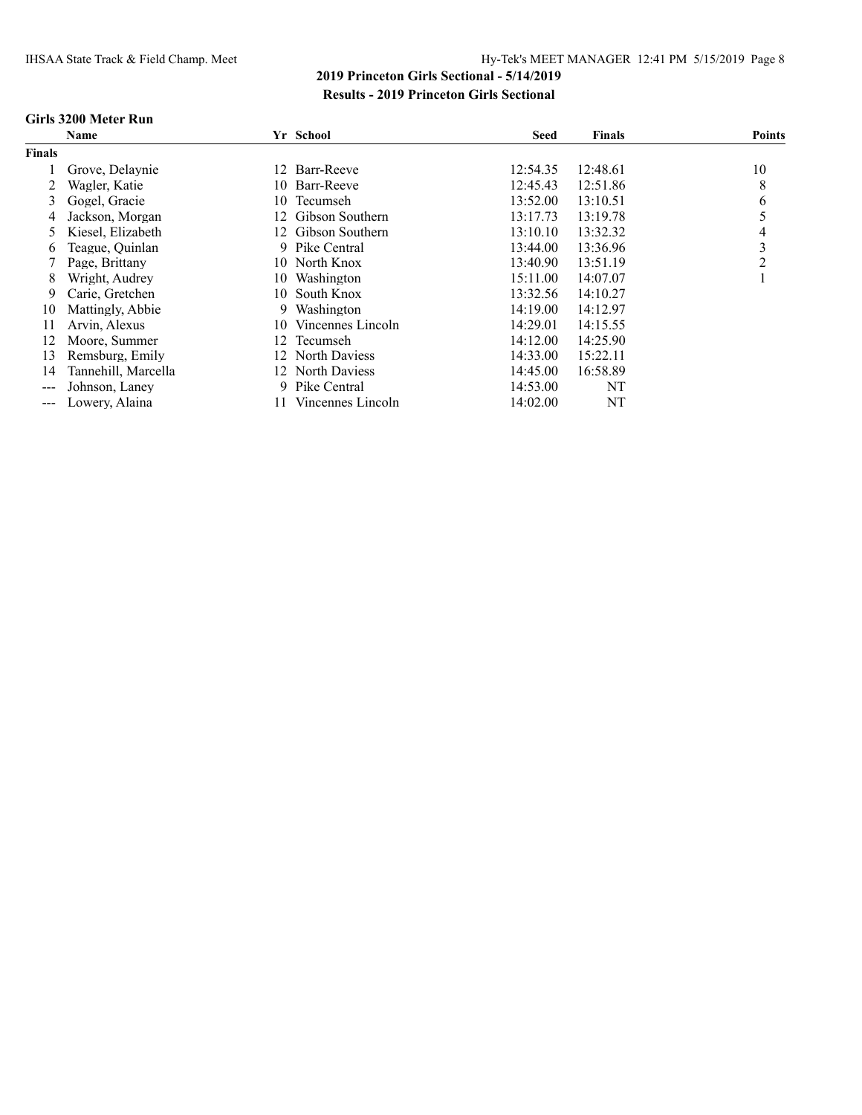#### **Girls 3200 Meter Run**

|               | <b>Name</b>         |     | Yr School         | <b>Seed</b> | Finals   | <b>Points</b> |
|---------------|---------------------|-----|-------------------|-------------|----------|---------------|
| <b>Finals</b> |                     |     |                   |             |          |               |
|               | Grove, Delaynie     | 12  | Barr-Reeve        | 12:54.35    | 12:48.61 | 10            |
|               | Wagler, Katie       |     | 10 Barr-Reeve     | 12:45.43    | 12:51.86 | 8             |
| 3             | Gogel, Gracie       | 10  | Tecumseh          | 13:52.00    | 13:10.51 | 6             |
| 4             | Jackson, Morgan     | 12  | Gibson Southern   | 13:17.73    | 13:19.78 |               |
| 5             | Kiesel, Elizabeth   | 12. | Gibson Southern   | 13:10.10    | 13:32.32 | 4             |
| 6             | Teague, Quinlan     |     | 9 Pike Central    | 13:44.00    | 13:36.96 | 3             |
|               | Page, Brittany      |     | 10 North Knox     | 13:40.90    | 13:51.19 | 2             |
| 8             | Wright, Audrey      | 10- | Washington        | 15:11.00    | 14:07.07 |               |
| 9             | Carie, Gretchen     | 10. | South Knox        | 13:32.56    | 14:10.27 |               |
| 10            | Mattingly, Abbie    | 9.  | Washington        | 14:19.00    | 14:12.97 |               |
| 11            | Arvin, Alexus       | 10  | Vincennes Lincoln | 14:29.01    | 14:15.55 |               |
| 12            | Moore, Summer       | 12  | Tecumseh          | 14:12.00    | 14:25.90 |               |
| 13            | Remsburg, Emily     |     | 12 North Daviess  | 14:33.00    | 15:22.11 |               |
| 14            | Tannehill, Marcella |     | 12 North Daviess  | 14:45.00    | 16:58.89 |               |
| ---           | Johnson, Laney      | 9.  | Pike Central      | 14:53.00    | NT       |               |
| $---$         | Lowery, Alaina      | 11. | Vincennes Lincoln | 14:02.00    | NT       |               |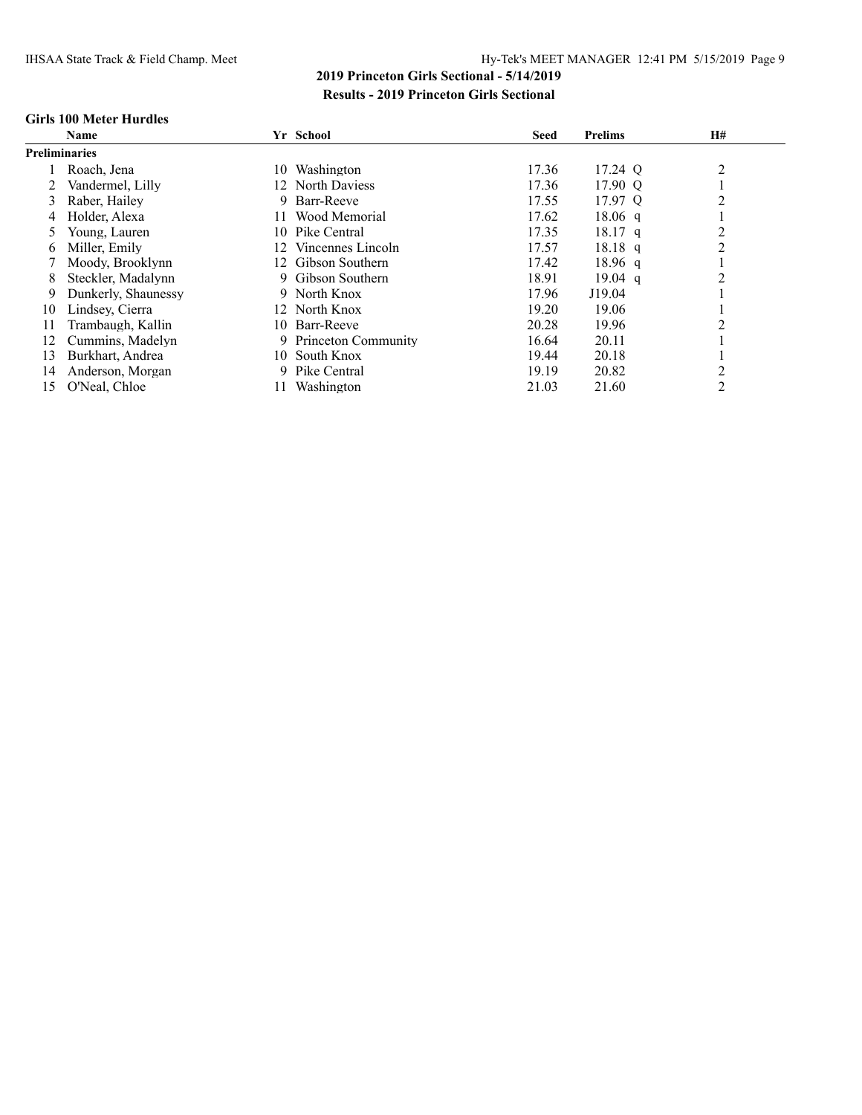#### **Girls 100 Meter Hurdles**

|    | <b>Name</b>          |     | Yr School                  | <b>Seed</b> | <b>Prelims</b> | <b>H#</b>      |
|----|----------------------|-----|----------------------------|-------------|----------------|----------------|
|    | <b>Preliminaries</b> |     |                            |             |                |                |
|    | Roach, Jena          | 10  | Washington                 | 17.36       | 17.24 Q        | 2              |
|    | Vandermel, Lilly     |     | 12 North Daviess           | 17.36       | 17.90 Q        |                |
| 3  | Raber, Hailey        | 9.  | Barr-Reeve                 | 17.55       | 17.97 Q        | 2              |
| 4  | Holder, Alexa        | 11. | Wood Memorial              | 17.62       | $18.06$ q      |                |
|    | Young, Lauren        | 10. | Pike Central               | 17.35       | $18.17$ q      | 2              |
| 6  | Miller, Emily        | 12. | Vincennes Lincoln          | 17.57       | $18.18$ q      | 2              |
|    | Moody, Brooklynn     | 12. | Gibson Southern            | 17.42       | $18.96$ q      |                |
| 8  | Steckler, Madalynn   |     | Gibson Southern            | 18.91       | $19.04$ q      | $\overline{c}$ |
| 9  | Dunkerly, Shaunessy  |     | 9 North Knox               | 17.96       | J19.04         |                |
| 10 | Lindsey, Cierra      |     | 12 North Knox              | 19.20       | 19.06          |                |
| 11 | Trambaugh, Kallin    | 10. | Barr-Reeve                 | 20.28       | 19.96          | $\overline{c}$ |
| 12 | Cummins, Madelyn     | 9.  | <b>Princeton Community</b> | 16.64       | 20.11          |                |
| 13 | Burkhart, Andrea     | 10. | South Knox                 | 19.44       | 20.18          |                |
| 14 | Anderson, Morgan     | 9.  | Pike Central               | 19.19       | 20.82          | 2              |
| 15 | O'Neal, Chloe        | 11. | Washington                 | 21.03       | 21.60          | 2              |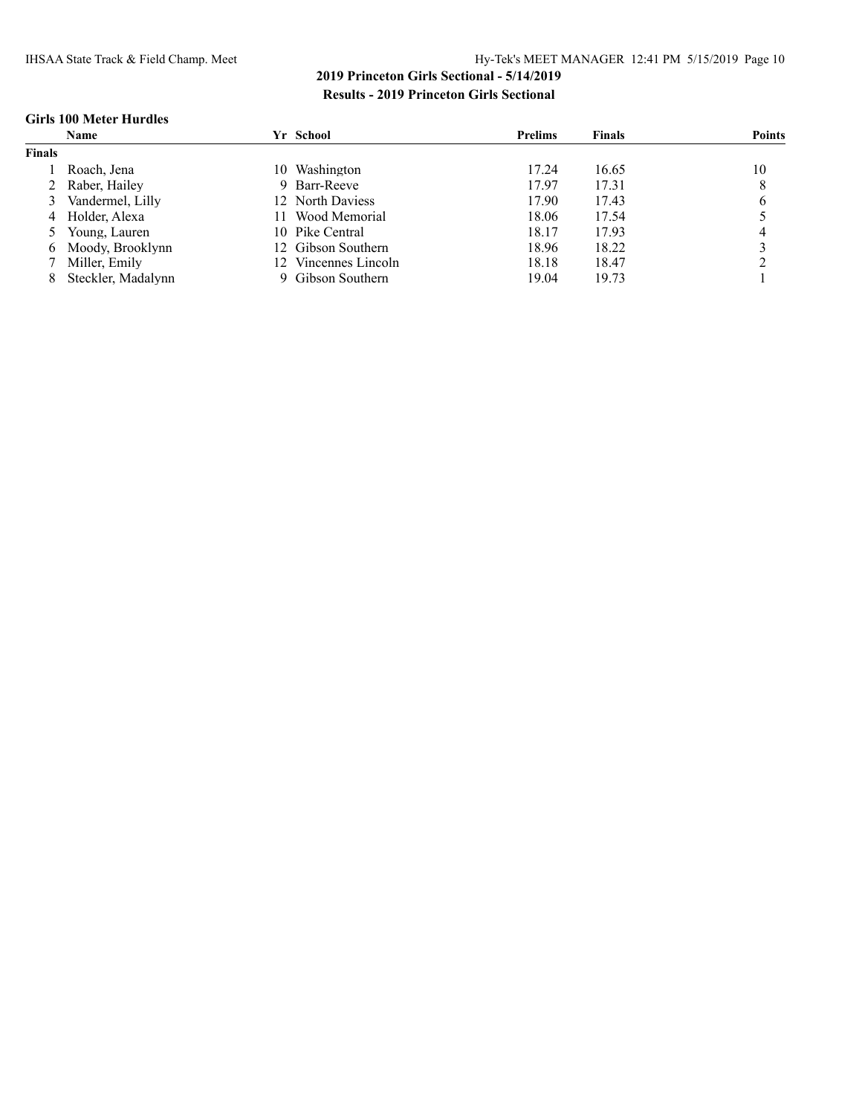#### **Girls 100 Meter Hurdles**

|               | Name               |     | Yr School          | <b>Prelims</b> | <b>Finals</b> | <b>Points</b> |
|---------------|--------------------|-----|--------------------|----------------|---------------|---------------|
| <b>Finals</b> |                    |     |                    |                |               |               |
|               | Roach. Jena        | 10. | Washington         | 17.24          | 16.65         | 10            |
|               | 2 Raber, Hailey    | 9   | Barr-Reeve         | 17.97          | 17.31         | 8             |
|               | Vandermel, Lilly   |     | 12 North Daviess   | 17.90          | 17.43         |               |
|               | 4 Holder, Alexa    | 11. | Wood Memorial      | 18.06          | 17.54         |               |
|               | 5 Young, Lauren    |     | 10 Pike Central    | 18.17          | 17.93         |               |
| 6.            | Moody, Brooklynn   |     | 12 Gibson Southern | 18.96          | 18.22         |               |
|               | 7 Miller, Emily    |     | Vincennes Lincoln  | 18.18          | 18.47         |               |
|               | Steckler, Madalynn |     | 9 Gibson Southern  | 19.04          | 19.73         |               |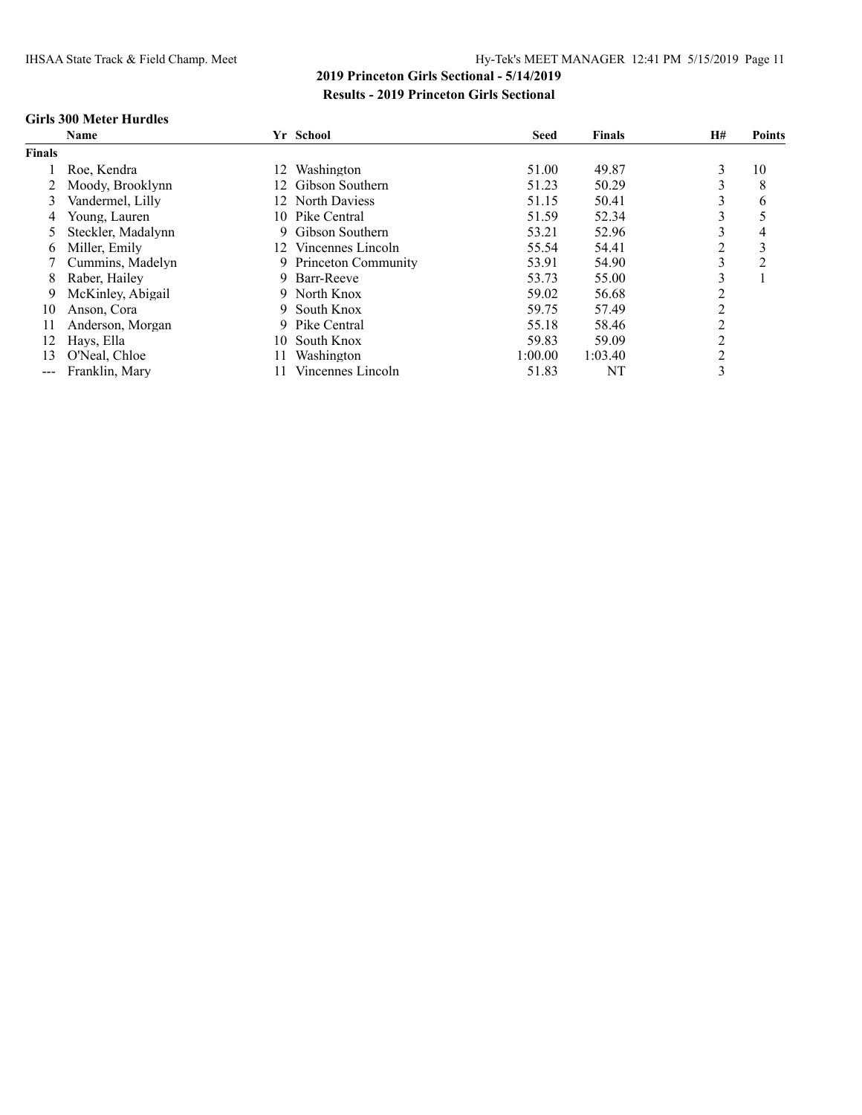#### **Girls 300 Meter Hurdles**

|               | <b>Name</b>        |                 | Yr School                  | <b>Seed</b> | <b>Finals</b> | <b>H#</b> | <b>Points</b>  |
|---------------|--------------------|-----------------|----------------------------|-------------|---------------|-----------|----------------|
| <b>Finals</b> |                    |                 |                            |             |               |           |                |
|               | Roe, Kendra        | 12.             | Washington                 | 51.00       | 49.87         | 3         | 10             |
|               | Moody, Brooklynn   | 12.             | Gibson Southern            | 51.23       | 50.29         | 3         | 8              |
| 3             | Vandermel, Lilly   |                 | 12 North Daviess           | 51.15       | 50.41         | 3         | 6              |
| 4             | Young, Lauren      | 10-             | Pike Central               | 51.59       | 52.34         | 3         |                |
|               | Steckler, Madalynn |                 | 9 Gibson Southern          | 53.21       | 52.96         | 3         | 4              |
| 6             | Miller, Emily      | $\overline{12}$ | Vincennes Lincoln          | 55.54       | 54.41         | 2         | 3              |
|               | Cummins, Madelyn   |                 | <b>Princeton Community</b> | 53.91       | 54.90         | 3         | $\overline{c}$ |
| 8             | Raber, Hailey      | 9.              | Barr-Reeve                 | 53.73       | 55.00         | ↑<br>Ź.   |                |
| 9             | McKinley, Abigail  |                 | 9 North Knox               | 59.02       | 56.68         | 2         |                |
| 10            | Anson, Cora        | 9.              | South Knox                 | 59.75       | 57.49         | 2         |                |
| 11            | Anderson, Morgan   | 9.              | Pike Central               | 55.18       | 58.46         | 2         |                |
| 12            | Hays, Ella         | 10.             | South Knox                 | 59.83       | 59.09         | 2         |                |
| 13            | O'Neal, Chloe      | 11              | Washington                 | 1:00.00     | 1:03.40       | 2         |                |
| $\frac{1}{2}$ | Franklin, Mary     |                 | Vincennes Lincoln          | 51.83       | NT            | 3         |                |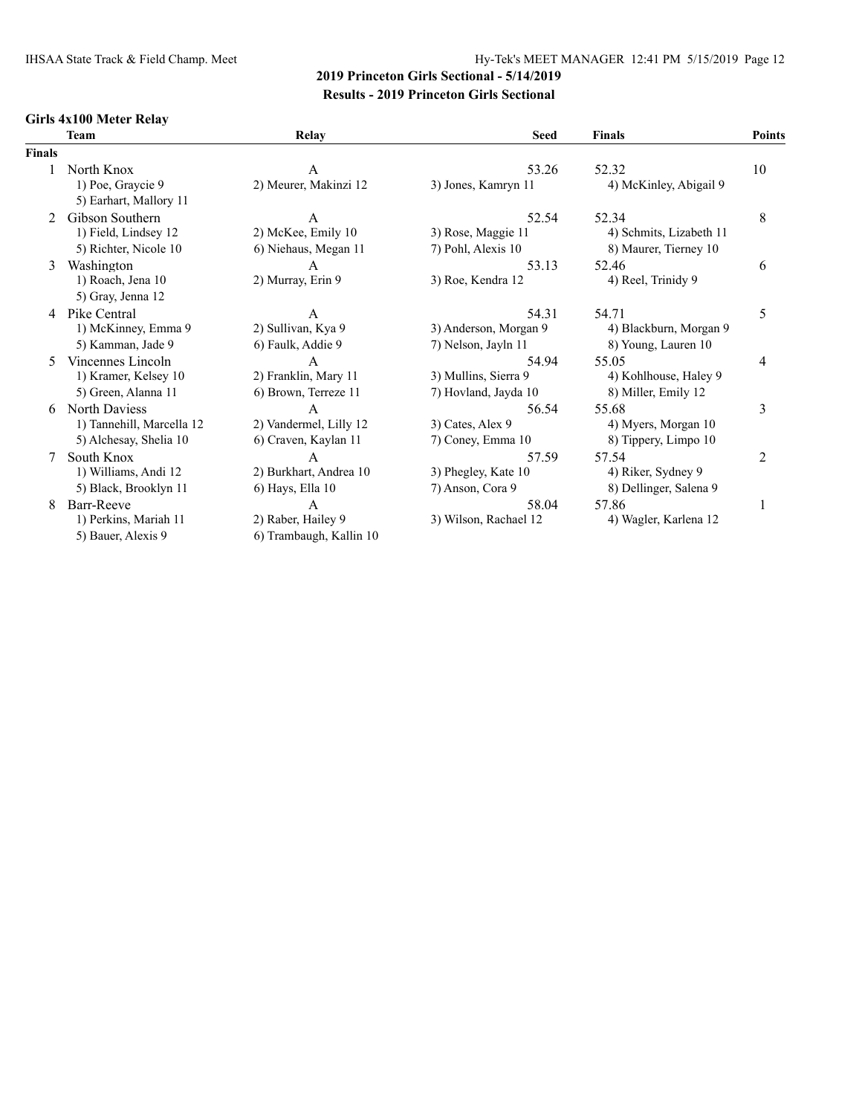### **Girls 4x100 Meter Relay**

|               | <b>Team</b>               | Relay                   | <b>Seed</b>           | <b>Finals</b>           | Points |
|---------------|---------------------------|-------------------------|-----------------------|-------------------------|--------|
| <b>Finals</b> |                           |                         |                       |                         |        |
|               | North Knox                | А                       | 53.26                 | 52.32                   | 10     |
|               | 1) Poe, Graycie 9         | 2) Meurer, Makinzi 12   | 3) Jones, Kamryn 11   | 4) McKinley, Abigail 9  |        |
|               | 5) Earhart, Mallory 11    |                         |                       |                         |        |
| 2             | Gibson Southern           | A                       | 52.54                 | 52.34                   | 8      |
|               | 1) Field, Lindsey 12      | 2) McKee, Emily 10      | 3) Rose, Maggie 11    | 4) Schmits, Lizabeth 11 |        |
|               | 5) Richter, Nicole 10     | 6) Niehaus, Megan 11    | 7) Pohl, Alexis 10    | 8) Maurer, Tierney 10   |        |
| 3             | Washington                | A                       | 53.13                 | 52.46                   | 6      |
|               | 1) Roach, Jena 10         | 2) Murray, Erin 9       | 3) Roe, Kendra 12     | 4) Reel, Trinidy 9      |        |
|               | 5) Gray, Jenna 12         |                         |                       |                         |        |
| 4             | Pike Central              | А                       | 54.31                 | 54.71                   | 5      |
|               | 1) McKinney, Emma 9       | 2) Sullivan, Kya 9      | 3) Anderson, Morgan 9 | 4) Blackburn, Morgan 9  |        |
|               | 5) Kamman, Jade 9         | 6) Faulk, Addie 9       | 7) Nelson, Jayln 11   | 8) Young, Lauren 10     |        |
| 5             | Vincennes Lincoln         | A                       | 54.94                 | 55.05                   | 4      |
|               | 1) Kramer, Kelsey 10      | 2) Franklin, Mary 11    | 3) Mullins, Sierra 9  | 4) Kohlhouse, Haley 9   |        |
|               | 5) Green, Alanna 11       | 6) Brown, Terreze 11    | 7) Hovland, Jayda 10  | 8) Miller, Emily 12     |        |
| 6             | North Daviess             | A                       | 56.54                 | 55.68                   | 3      |
|               | 1) Tannehill, Marcella 12 | 2) Vandermel, Lilly 12  | 3) Cates, Alex 9      | 4) Myers, Morgan 10     |        |
|               | 5) Alchesay, Shelia 10    | 6) Craven, Kaylan 11    | 7) Coney, Emma 10     | 8) Tippery, Limpo 10    |        |
| 7             | South Knox                | А                       | 57.59                 | 57.54                   | 2      |
|               | 1) Williams, Andi 12      | 2) Burkhart, Andrea 10  | 3) Phegley, Kate 10   | 4) Riker, Sydney 9      |        |
|               | 5) Black, Brooklyn 11     | 6) Hays, Ella 10        | 7) Anson, Cora 9      | 8) Dellinger, Salena 9  |        |
| 8             | Barr-Reeve                | A                       | 58.04                 | 57.86                   | 1      |
|               | 1) Perkins, Mariah 11     | 2) Raber, Hailey 9      | 3) Wilson, Rachael 12 | 4) Wagler, Karlena 12   |        |
|               | 5) Bauer, Alexis 9        | 6) Trambaugh, Kallin 10 |                       |                         |        |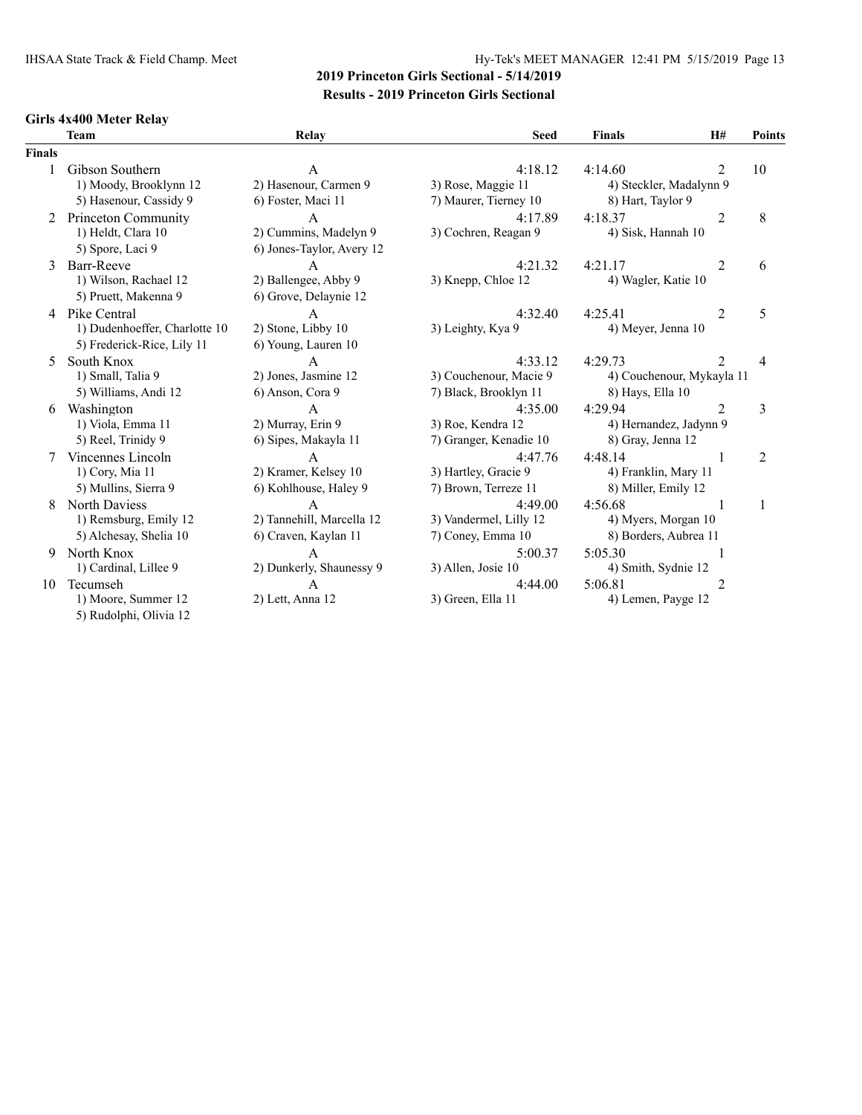### **Girls 4x400 Meter Relay**

|        | <b>Team</b>                   | Relay                     | <b>Seed</b>            | <b>Finals</b>             | H#             | Points         |
|--------|-------------------------------|---------------------------|------------------------|---------------------------|----------------|----------------|
| Finals |                               |                           |                        |                           |                |                |
| 1      | Gibson Southern               | $\mathbf{A}$              | 4:18.12                | 4:14.60                   | 2              | 10             |
|        | 1) Moody, Brooklynn 12        | 2) Hasenour, Carmen 9     | 3) Rose, Maggie 11     | 4) Steckler, Madalynn 9   |                |                |
|        | 5) Hasenour, Cassidy 9        | 6) Foster, Maci 11        | 7) Maurer, Tierney 10  | 8) Hart, Taylor 9         |                |                |
| 2      | Princeton Community           | A                         | 4:17.89                | 4:18.37                   | $\overline{2}$ | 8              |
|        | 1) Heldt, Clara 10            | 2) Cummins, Madelyn 9     | 3) Cochren, Reagan 9   | 4) Sisk, Hannah 10        |                |                |
|        | 5) Spore, Laci 9              | 6) Jones-Taylor, Avery 12 |                        |                           |                |                |
| 3      | Barr-Reeve                    | $\overline{A}$            | 4:21.32                | 4:21.17                   | 2              | 6              |
|        | 1) Wilson, Rachael 12         | 2) Ballengee, Abby 9      | 3) Knepp, Chloe 12     | 4) Wagler, Katie 10       |                |                |
|        | 5) Pruett, Makenna 9          | 6) Grove, Delaynie 12     |                        |                           |                |                |
|        | 4 Pike Central                | $\mathsf{A}$              | 4:32.40                | 4:25.41                   | 2              | 5              |
|        | 1) Dudenhoeffer, Charlotte 10 | 2) Stone, Libby 10        | 3) Leighty, Kya 9      | 4) Meyer, Jenna 10        |                |                |
|        | 5) Frederick-Rice, Lily 11    | 6) Young, Lauren 10       |                        |                           |                |                |
| 5      | South Knox                    | $\mathsf{A}$              | 4:33.12                | 4:29.73                   | $\mathfrak{D}$ | 4              |
|        | 1) Small, Talia 9             | 2) Jones, Jasmine 12      | 3) Couchenour, Macie 9 | 4) Couchenour, Mykayla 11 |                |                |
|        | 5) Williams, Andi 12          | 6) Anson, Cora 9          | 7) Black, Brooklyn 11  | 8) Hays, Ella 10          |                |                |
| 6      | Washington                    | $\mathsf{A}$              | 4:35.00                | 4:29.94                   | $\overline{2}$ | 3              |
|        | 1) Viola, Emma 11             | 2) Murray, Erin 9         | 3) Roe, Kendra 12      | 4) Hernandez, Jadynn 9    |                |                |
|        | 5) Reel, Trinidy 9            | 6) Sipes, Makayla 11      | 7) Granger, Kenadie 10 | 8) Gray, Jenna 12         |                |                |
|        | Vincennes Lincoln             | $\mathsf{A}$              | 4:47.76                | 4:48.14                   |                | $\overline{2}$ |
|        | 1) Cory, Mia 11               | 2) Kramer, Kelsey 10      | 3) Hartley, Gracie 9   | 4) Franklin, Mary 11      |                |                |
|        | 5) Mullins, Sierra 9          | 6) Kohlhouse, Haley 9     | 7) Brown, Terreze 11   | 8) Miller, Emily 12       |                |                |
| 8      | North Daviess                 | $\overline{A}$            | 4:49.00                | 4:56.68                   | 1              | 1              |
|        | 1) Remsburg, Emily 12         | 2) Tannehill, Marcella 12 | 3) Vandermel, Lilly 12 | 4) Myers, Morgan 10       |                |                |
|        | 5) Alchesay, Shelia 10        | 6) Craven, Kaylan 11      | 7) Coney, Emma 10      | 8) Borders, Aubrea 11     |                |                |
| 9      | North Knox                    | $\mathbf{A}$              | 5:00.37                | 5:05.30                   | $\mathbf{1}$   |                |
|        | 1) Cardinal, Lillee 9         | 2) Dunkerly, Shaunessy 9  | 3) Allen, Josie 10     | 4) Smith, Sydnie 12       |                |                |
| 10     | Tecumseh                      | $\mathsf{A}$              | 4:44.00                | 5:06.81                   | $\overline{2}$ |                |
|        | 1) Moore, Summer 12           | 2) Lett, Anna 12          | 3) Green, Ella 11      | 4) Lemen, Payge 12        |                |                |
|        | 5) Rudolphi, Olivia 12        |                           |                        |                           |                |                |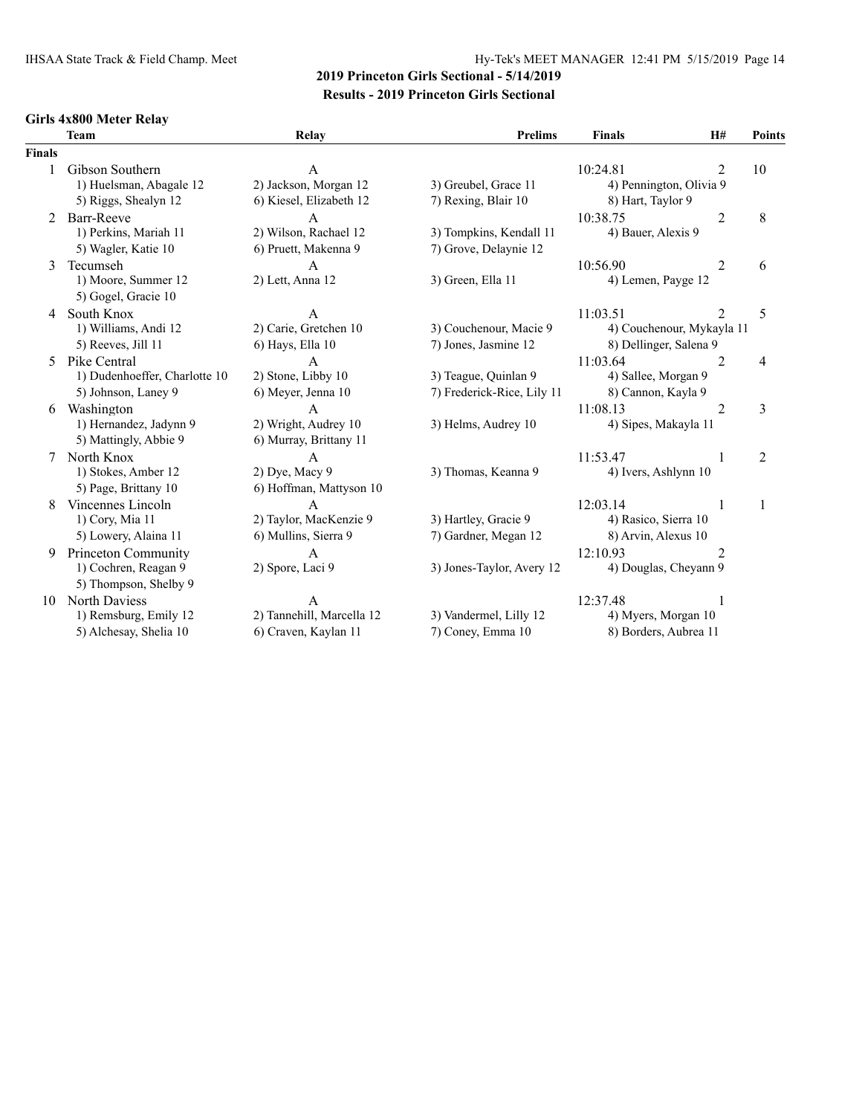# IHSAA State Track & Field Champ. Meet Hy-Tek's MEET MANAGER 12:41 PM 5/15/2019 Page 14

## **2019 Princeton Girls Sectional - 5/14/2019 Results - 2019 Princeton Girls Sectional**

### **Girls 4x800 Meter Relay**

|                          | <b>Team</b>                   | Relay                     | <b>Prelims</b>             | <b>Finals</b>             | H#                            | Points         |
|--------------------------|-------------------------------|---------------------------|----------------------------|---------------------------|-------------------------------|----------------|
| <b>Finals</b>            |                               |                           |                            |                           |                               |                |
| 1                        | Gibson Southern               | A                         |                            | 10:24.81                  | $\overline{2}$                | 10             |
|                          | 1) Huelsman, Abagale 12       | 2) Jackson, Morgan 12     | 3) Greubel, Grace 11       | 4) Pennington, Olivia 9   |                               |                |
|                          | 5) Riggs, Shealyn 12          | 6) Kiesel, Elizabeth 12   | 7) Rexing, Blair 10        | 8) Hart, Taylor 9         |                               |                |
| $\overline{\mathcal{L}}$ | Barr-Reeve                    | $\overline{A}$            |                            | 10:38.75                  | $\overline{2}$                | 8              |
|                          | 1) Perkins, Mariah 11         | 2) Wilson, Rachael 12     | 3) Tompkins, Kendall 11    | 4) Bauer, Alexis 9        |                               |                |
|                          | 5) Wagler, Katie 10           | 6) Pruett, Makenna 9      | 7) Grove, Delaynie 12      |                           |                               |                |
| 3                        | Tecumseh                      | $\mathsf{A}$              |                            | 10:56.90                  | $\overline{2}$                | 6              |
|                          | 1) Moore, Summer 12           | 2) Lett, Anna 12          | 3) Green, Ella 11          | 4) Lemen, Payge 12        |                               |                |
|                          | 5) Gogel, Gracie 10           |                           |                            |                           |                               |                |
| 4                        | South Knox                    | A                         |                            | 11:03.51                  | 2                             | 5              |
|                          | 1) Williams, Andi 12          | 2) Carie, Gretchen 10     | 3) Couchenour, Macie 9     | 4) Couchenour, Mykayla 11 |                               |                |
|                          | 5) Reeves, Jill 11            | 6) Hays, Ella 10          | 7) Jones, Jasmine 12       | 8) Dellinger, Salena 9    |                               |                |
| 5.                       | Pike Central                  | $\mathsf{A}$              |                            | 11:03.64                  | $\mathfrak{D}_{\mathfrak{p}}$ | 4              |
|                          | 1) Dudenhoeffer, Charlotte 10 | 2) Stone, Libby 10        | 3) Teague, Quinlan 9       | 4) Sallee, Morgan 9       |                               |                |
|                          | 5) Johnson, Laney 9           | 6) Meyer, Jenna 10        | 7) Frederick-Rice, Lily 11 | 8) Cannon, Kayla 9        |                               |                |
| 6                        | Washington                    | A                         |                            | 11:08.13                  | $\overline{2}$                | 3              |
|                          | 1) Hernandez, Jadynn 9        | 2) Wright, Audrey 10      | 3) Helms, Audrey 10        | 4) Sipes, Makayla 11      |                               |                |
|                          | 5) Mattingly, Abbie 9         | 6) Murray, Brittany 11    |                            |                           |                               |                |
|                          | North Knox                    | A                         |                            | 11:53.47                  |                               | $\overline{2}$ |
|                          | 1) Stokes, Amber 12           | 2) Dye, Macy 9            | 3) Thomas, Keanna 9        | 4) Ivers, Ashlynn 10      |                               |                |
|                          | 5) Page, Brittany 10          | 6) Hoffman, Mattyson 10   |                            |                           |                               |                |
| 8                        | Vincennes Lincoln             | $\overline{A}$            |                            | 12:03.14                  | 1                             | 1              |
|                          | 1) Cory, Mia 11               | 2) Taylor, MacKenzie 9    | 3) Hartley, Gracie 9       | 4) Rasico, Sierra 10      |                               |                |
|                          | 5) Lowery, Alaina 11          | 6) Mullins, Sierra 9      | 7) Gardner, Megan 12       | 8) Arvin, Alexus 10       |                               |                |
| 9                        | Princeton Community           | A                         |                            | 12:10.93                  | 2                             |                |
|                          | 1) Cochren, Reagan 9          | 2) Spore, Laci 9          | 3) Jones-Taylor, Avery 12  | 4) Douglas, Cheyann 9     |                               |                |
|                          | 5) Thompson, Shelby 9         |                           |                            |                           |                               |                |
| 10                       | North Daviess                 | $\mathbf{A}$              |                            | 12:37.48                  | $\mathbf{1}$                  |                |
|                          | 1) Remsburg, Emily 12         | 2) Tannehill, Marcella 12 | 3) Vandermel, Lilly 12     | 4) Myers, Morgan 10       |                               |                |
|                          | 5) Alchesay, Shelia 10        | 6) Craven, Kaylan 11      | 7) Coney, Emma 10          | 8) Borders, Aubrea 11     |                               |                |
|                          |                               |                           |                            |                           |                               |                |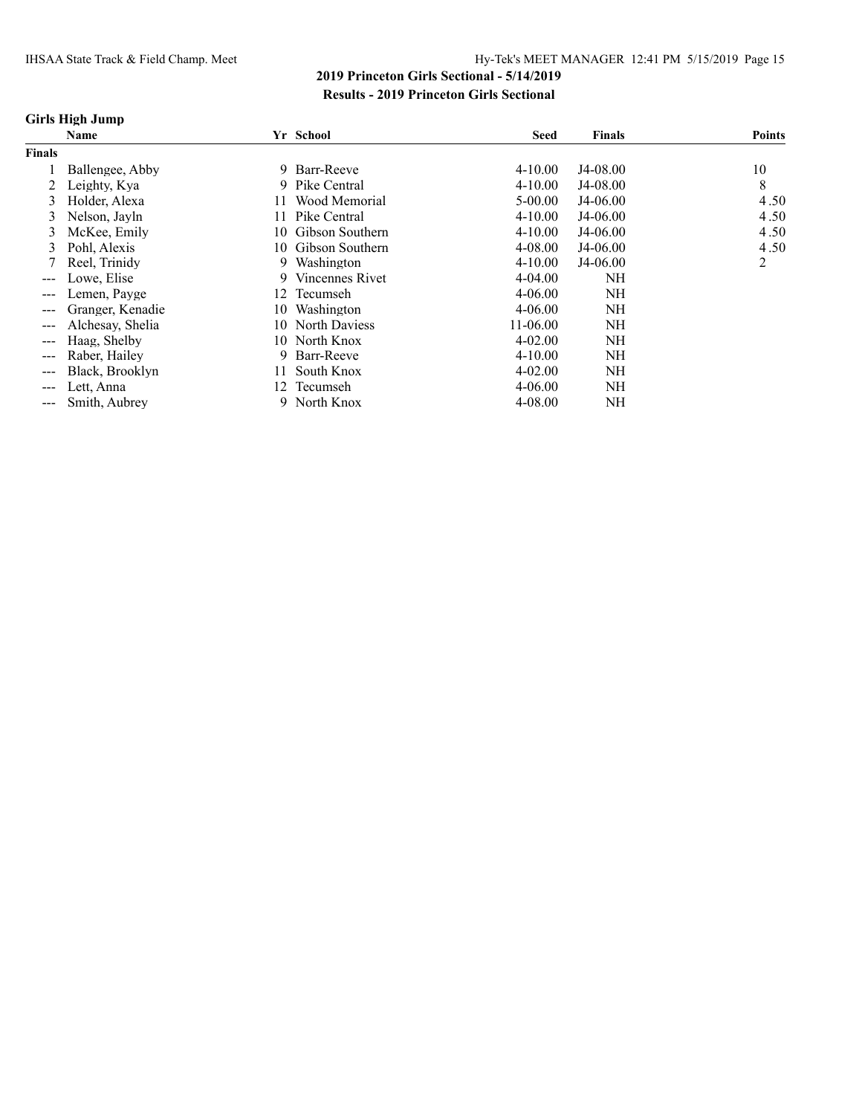#### **Girls High Jump**

|                   | <b>Name</b>      |     | Yr School       | <b>Seed</b> | <b>Finals</b> | <b>Points</b> |
|-------------------|------------------|-----|-----------------|-------------|---------------|---------------|
| <b>Finals</b>     |                  |     |                 |             |               |               |
|                   | Ballengee, Abby  | 9.  | Barr-Reeve      | $4 - 10.00$ | J4-08.00      | 10            |
|                   | Leighty, Kya     | 9.  | Pike Central    | $4 - 10.00$ | J4-08.00      | 8             |
| 3                 | Holder, Alexa    |     | Wood Memorial   | $5 - 00.00$ | J4-06.00      | 4.50          |
| 3                 | Nelson, Jayln    |     | Pike Central    | $4 - 10.00$ | J4-06.00      | 4.50          |
| 3                 | McKee, Emily     | 10  | Gibson Southern | $4 - 10.00$ | $J4-06.00$    | 4.50          |
| 3                 | Pohl, Alexis     | 10. | Gibson Southern | 4-08.00     | $J4-06.00$    | 4.50          |
|                   | Reel, Trinidy    | 9   | Washington      | $4 - 10.00$ | J4-06.00      | 2             |
| $---$             | Lowe, Elise      | 9   | Vincennes Rivet | $4 - 04.00$ | NΗ            |               |
| ---               | Lemen, Payge     | 12  | Tecumseh        | $4 - 06.00$ | NΗ            |               |
| ---               | Granger, Kenadie | 10  | Washington      | $4 - 06.00$ | NΗ            |               |
| $---$             | Alchesay, Shelia | 10  | North Daviess   | 11-06.00    | NH            |               |
| $---$             | Haag, Shelby     | 10  | North Knox      | $4 - 02.00$ | NΗ            |               |
| ---               | Raber, Hailey    | 9   | Barr-Reeve      | $4 - 10.00$ | NH            |               |
|                   | Black, Brooklyn  |     | South Knox      | $4 - 02.00$ | NΗ            |               |
| $\qquad \qquad -$ | Lett, Anna       | 12  | Tecumseh        | $4 - 06.00$ | NΗ            |               |
|                   | Smith, Aubrey    | 9.  | North Knox      | $4 - 08.00$ | NΗ            |               |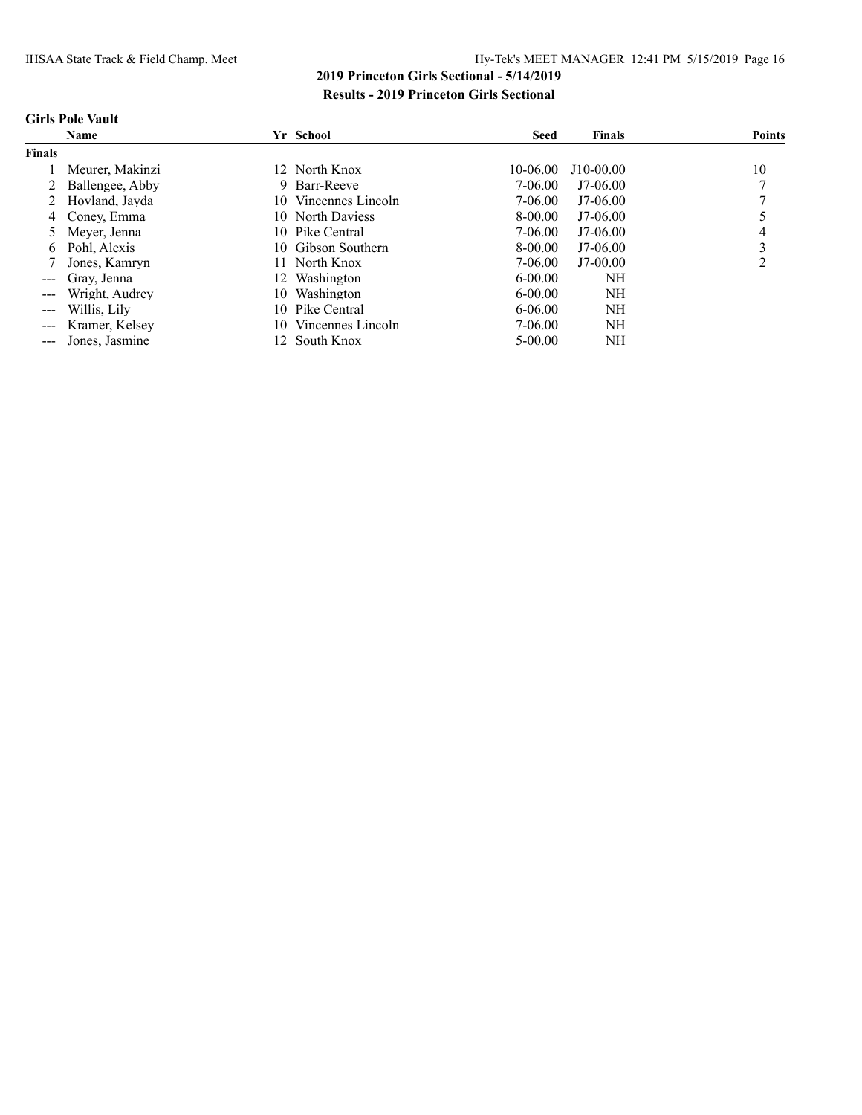### **Girls Pole Vault**

|                                                                                                                                                                                                                                                                                                                                                                                                                                                                            | <b>Name</b>      |     | Yr School          | <b>Seed</b> | <b>Finals</b> | <b>Points</b> |
|----------------------------------------------------------------------------------------------------------------------------------------------------------------------------------------------------------------------------------------------------------------------------------------------------------------------------------------------------------------------------------------------------------------------------------------------------------------------------|------------------|-----|--------------------|-------------|---------------|---------------|
| <b>Finals</b>                                                                                                                                                                                                                                                                                                                                                                                                                                                              |                  |     |                    |             |               |               |
|                                                                                                                                                                                                                                                                                                                                                                                                                                                                            | Meurer, Makinzi  |     | 12 North Knox      | 10-06.00    | J10-00.00     | 10            |
|                                                                                                                                                                                                                                                                                                                                                                                                                                                                            | Ballengee, Abby  | 9.  | Barr-Reeve         | 7-06.00     | $J7-06.00$    |               |
|                                                                                                                                                                                                                                                                                                                                                                                                                                                                            | 2 Hovland, Jayda | 10. | Vincennes Lincoln  | 7-06.00     | $J7-06.00$    |               |
| 4                                                                                                                                                                                                                                                                                                                                                                                                                                                                          | Conev. Emma      |     | 10 North Daviess   | 8-00.00     | $J7-06.00$    |               |
|                                                                                                                                                                                                                                                                                                                                                                                                                                                                            | Mever, Jenna     |     | 10 Pike Central    | 7-06.00     | $J7-06.00$    |               |
| 6.                                                                                                                                                                                                                                                                                                                                                                                                                                                                         | Pohl, Alexis     |     | 10 Gibson Southern | 8-00.00     | $J7-06.00$    |               |
|                                                                                                                                                                                                                                                                                                                                                                                                                                                                            | Jones, Kamryn    | 11. | North Knox         | 7-06.00     | $J7-00.00$    | ∍             |
| $\frac{1}{2} \left( \frac{1}{2} \right) \left( \frac{1}{2} \right) \left( \frac{1}{2} \right) \left( \frac{1}{2} \right) \left( \frac{1}{2} \right) \left( \frac{1}{2} \right) \left( \frac{1}{2} \right) \left( \frac{1}{2} \right) \left( \frac{1}{2} \right) \left( \frac{1}{2} \right) \left( \frac{1}{2} \right) \left( \frac{1}{2} \right) \left( \frac{1}{2} \right) \left( \frac{1}{2} \right) \left( \frac{1}{2} \right) \left( \frac{1}{2} \right) \left( \frac$ | Grav. Jenna      | 12. | Washington         | $6 - 00.00$ | NH            |               |
| $\qquad \qquad - -$                                                                                                                                                                                                                                                                                                                                                                                                                                                        | Wright, Audrey   | 10  | Washington         | $6 - 00.00$ | NH            |               |
| $\frac{1}{2} \frac{1}{2} \frac{1}{2} \frac{1}{2} \frac{1}{2} \frac{1}{2} \frac{1}{2} \frac{1}{2} \frac{1}{2} \frac{1}{2} \frac{1}{2} \frac{1}{2} \frac{1}{2} \frac{1}{2} \frac{1}{2} \frac{1}{2} \frac{1}{2} \frac{1}{2} \frac{1}{2} \frac{1}{2} \frac{1}{2} \frac{1}{2} \frac{1}{2} \frac{1}{2} \frac{1}{2} \frac{1}{2} \frac{1}{2} \frac{1}{2} \frac{1}{2} \frac{1}{2} \frac{1}{2} \frac{$                                                                               | Willis, Lily     | 10. | Pike Central       | $6 - 06.00$ | NH            |               |
| $\sim$ $\sim$ $\sim$                                                                                                                                                                                                                                                                                                                                                                                                                                                       | Kramer, Kelsey   | 10. | Vincennes Lincoln  | 7-06.00     | NH            |               |
| $\frac{1}{2} \left( \frac{1}{2} \right) \left( \frac{1}{2} \right) \left( \frac{1}{2} \right) \left( \frac{1}{2} \right) \left( \frac{1}{2} \right) \left( \frac{1}{2} \right) \left( \frac{1}{2} \right) \left( \frac{1}{2} \right) \left( \frac{1}{2} \right) \left( \frac{1}{2} \right) \left( \frac{1}{2} \right) \left( \frac{1}{2} \right) \left( \frac{1}{2} \right) \left( \frac{1}{2} \right) \left( \frac{1}{2} \right) \left( \frac{1}{2} \right) \left( \frac$ | Jones, Jasmine   |     | 12 South Knox      | $5-00.00$   | NH            |               |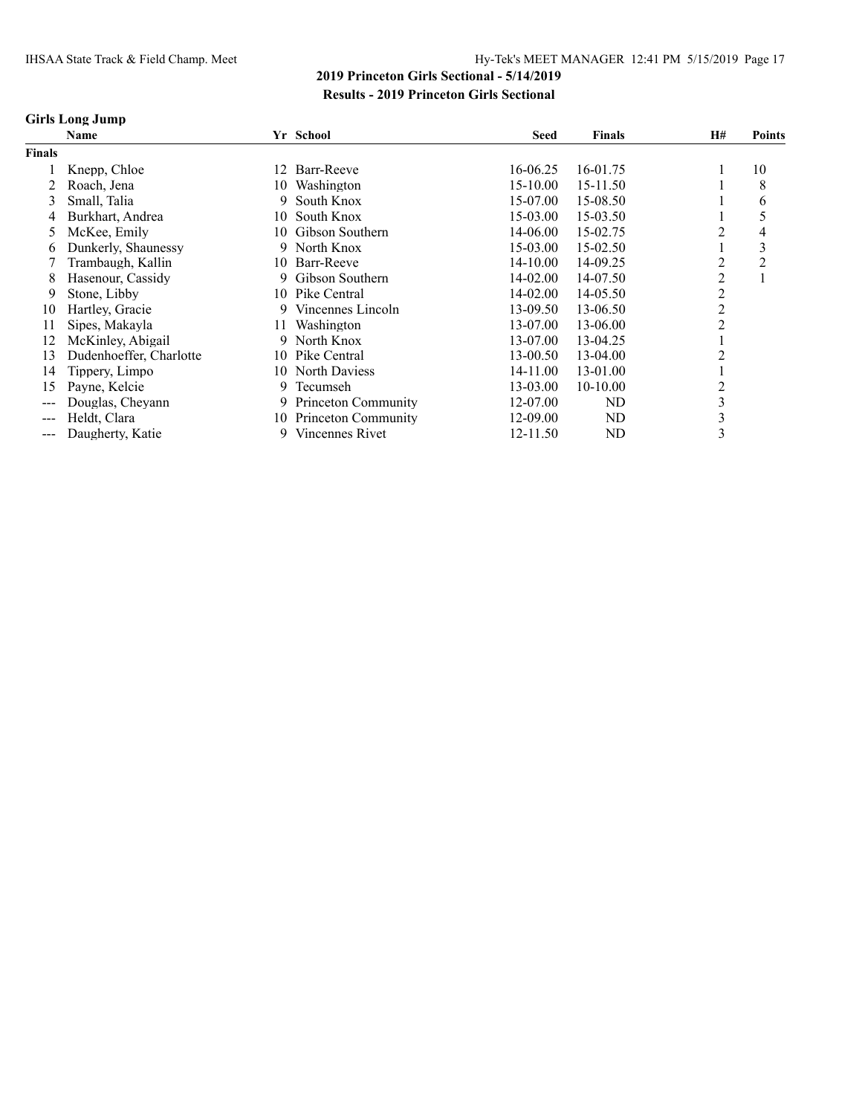#### **Girls Long Jump**

|                        | Name                    |     | Yr School           | <b>Seed</b> | <b>Finals</b>  | H# | <b>Points</b> |
|------------------------|-------------------------|-----|---------------------|-------------|----------------|----|---------------|
| <b>Finals</b>          |                         |     |                     |             |                |    |               |
|                        | Knepp, Chloe            | 12  | Barr-Reeve          | 16-06.25    | 16-01.75       |    | 10            |
|                        | Roach, Jena             | 10  | Washington          | 15-10.00    | 15-11.50       |    | 8             |
| 3                      | Small, Talia            | 9.  | South Knox          | 15-07.00    | 15-08.50       |    | 6             |
| 4                      | Burkhart, Andrea        | 10  | South Knox          | 15-03.00    | 15-03.50       |    |               |
| 5                      | McKee, Emily            | 10- | Gibson Southern     | 14-06.00    | 15-02.75       |    | 4             |
| 6                      | Dunkerly, Shaunessy     |     | 9 North Knox        | 15-03.00    | 15-02.50       |    | 3             |
|                        | Trambaugh, Kallin       | 10- | Barr-Reeve          | 14-10.00    | 14-09.25       | 2  | 2             |
| 8                      | Hasenour, Cassidy       | 9.  | Gibson Southern     | 14-02.00    | 14-07.50       |    |               |
| 9                      | Stone, Libby            |     | 10 Pike Central     | 14-02.00    | 14-05.50       |    |               |
| 10                     | Hartley, Gracie         |     | 9 Vincennes Lincoln | 13-09.50    | 13-06.50       |    |               |
| 11                     | Sipes, Makayla          | 11- | Washington          | 13-07.00    | 13-06.00       |    |               |
| 12                     | McKinley, Abigail       |     | 9 North Knox        | 13-07.00    | 13-04.25       |    |               |
| 13                     | Dudenhoeffer, Charlotte | 10- | Pike Central        | 13-00.50    | 13-04.00       |    |               |
| 14                     | Tippery, Limpo          |     | 10 North Daviess    | 14-11.00    | 13-01.00       |    |               |
| 15                     | Payne, Kelcie           | 9.  | Tecumseh            | 13-03.00    | $10-10.00$     |    |               |
|                        | Douglas, Cheyann        | 9.  | Princeton Community | 12-07.00    | ND             | Ć  |               |
| ---                    | Heldt, Clara            | 10- | Princeton Community | 12-09.00    | N <sub>D</sub> | 3  |               |
| $\qquad \qquad \cdots$ | Daugherty, Katie        | 9.  | Vincennes Rivet     | 12-11.50    | ND             | 3  |               |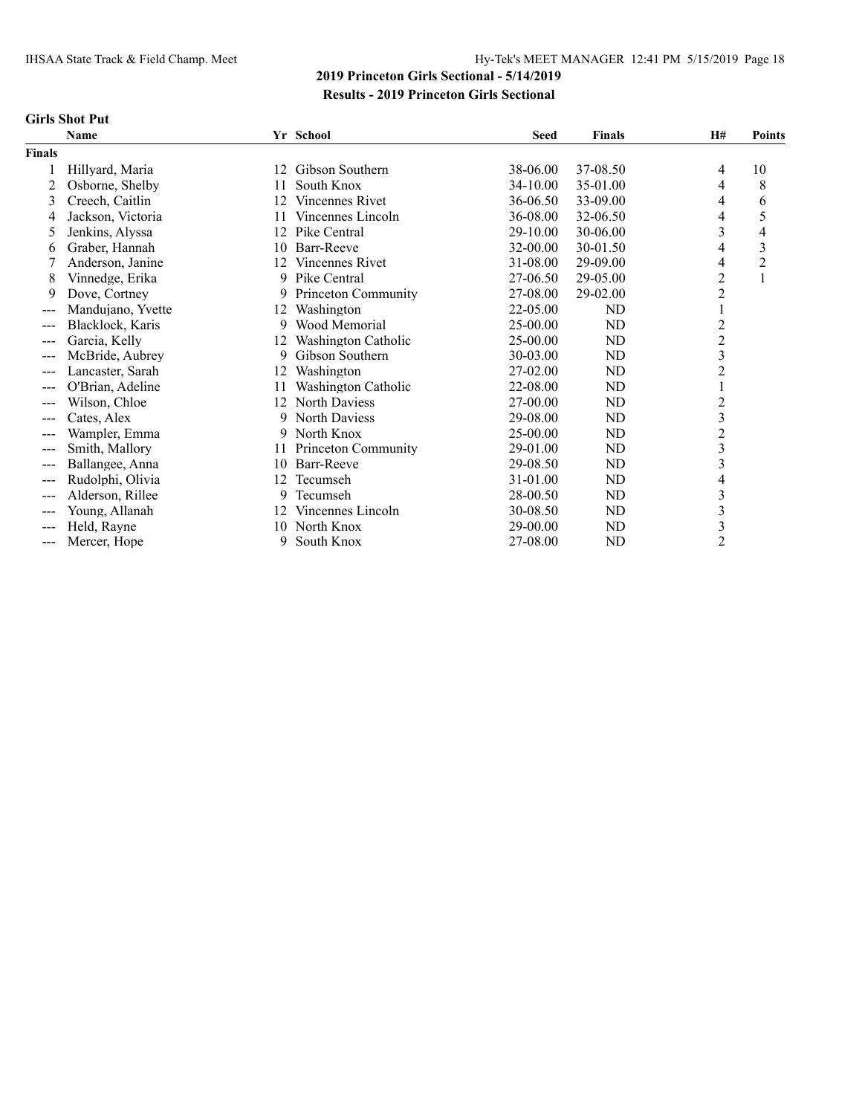### **Girls Shot Put**

|                   | <b>Name</b>       |     | Yr School              | <b>Seed</b>  | <b>Finals</b> | H#                      | <b>Points</b>  |
|-------------------|-------------------|-----|------------------------|--------------|---------------|-------------------------|----------------|
| <b>Finals</b>     |                   |     |                        |              |               |                         |                |
|                   | Hillyard, Maria   | 12  | Gibson Southern        | 38-06.00     | 37-08.50      | 4                       | 10             |
| 2                 | Osborne, Shelby   | 11  | South Knox             | 34-10.00     | 35-01.00      | 4                       | 8              |
| 3                 | Creech, Caitlin   | 12  | <b>Vincennes Rivet</b> | 36-06.50     | 33-09.00      | 4                       | 6              |
| 4                 | Jackson, Victoria | 11  | Vincennes Lincoln      | 36-08.00     | 32-06.50      | 4                       | 5              |
| 5                 | Jenkins, Alyssa   | 12  | Pike Central           | 29-10.00     | 30-06.00      | 3                       | 4              |
| 6                 | Graber, Hannah    | 10  | Barr-Reeve             | 32-00.00     | 30-01.50      | 4                       | 3              |
|                   | Anderson, Janine  | 12. | Vincennes Rivet        | 31-08.00     | 29-09.00      | 4                       | $\overline{2}$ |
| 8                 | Vinnedge, Erika   | 9   | Pike Central           | 27-06.50     | 29-05.00      | $\overline{c}$          | 1              |
| 9                 | Dove, Cortney     | 9   | Princeton Community    | 27-08.00     | 29-02.00      | $\overline{c}$          |                |
| $\qquad \qquad -$ | Mandujano, Yvette | 12  | Washington             | $22 - 05.00$ | ND            | 1                       |                |
| $---$             | Blacklock, Karis  | 9   | Wood Memorial          | 25-00.00     | ND            | $\overline{c}$          |                |
|                   | Garcia, Kelly     | 12  | Washington Catholic    | 25-00.00     | ND            | $\overline{2}$          |                |
|                   | McBride, Aubrey   | 9   | Gibson Southern        | 30-03.00     | ND            | 3                       |                |
|                   | Lancaster, Sarah  | 12  | Washington             | 27-02.00     | ND            | $\overline{2}$          |                |
| $---$             | O'Brian, Adeline  | 11  | Washington Catholic    | 22-08.00     | ND            |                         |                |
|                   | Wilson, Chloe     | 12  | North Daviess          | 27-00.00     | ND            | $\overline{c}$          |                |
|                   | Cates, Alex       | 9   | North Daviess          | 29-08.00     | ND            | 3                       |                |
| ---               | Wampler, Emma     | 9   | North Knox             | 25-00.00     | ND            | $\overline{c}$          |                |
| $---$             | Smith, Mallory    | 11  | Princeton Community    | 29-01.00     | ND            | 3                       |                |
|                   | Ballangee, Anna   | 10  | Barr-Reeve             | 29-08.50     | ND            | $\overline{\mathbf{3}}$ |                |
|                   | Rudolphi, Olivia  | 12  | Tecumseh               | 31-01.00     | ND            | 4                       |                |
| $---$             | Alderson, Rillee  | 9   | Tecumseh               | 28-00.50     | ND            | 3                       |                |
|                   | Young, Allanah    | 12  | Vincennes Lincoln      | 30-08.50     | ND            | 3                       |                |
|                   | Held, Rayne       | 10  | North Knox             | 29-00.00     | ND            | $\mathfrak{Z}$          |                |
| $---$             | Mercer, Hope      | 9   | South Knox             | 27-08.00     | ND            | $\overline{2}$          |                |
|                   |                   |     |                        |              |               |                         |                |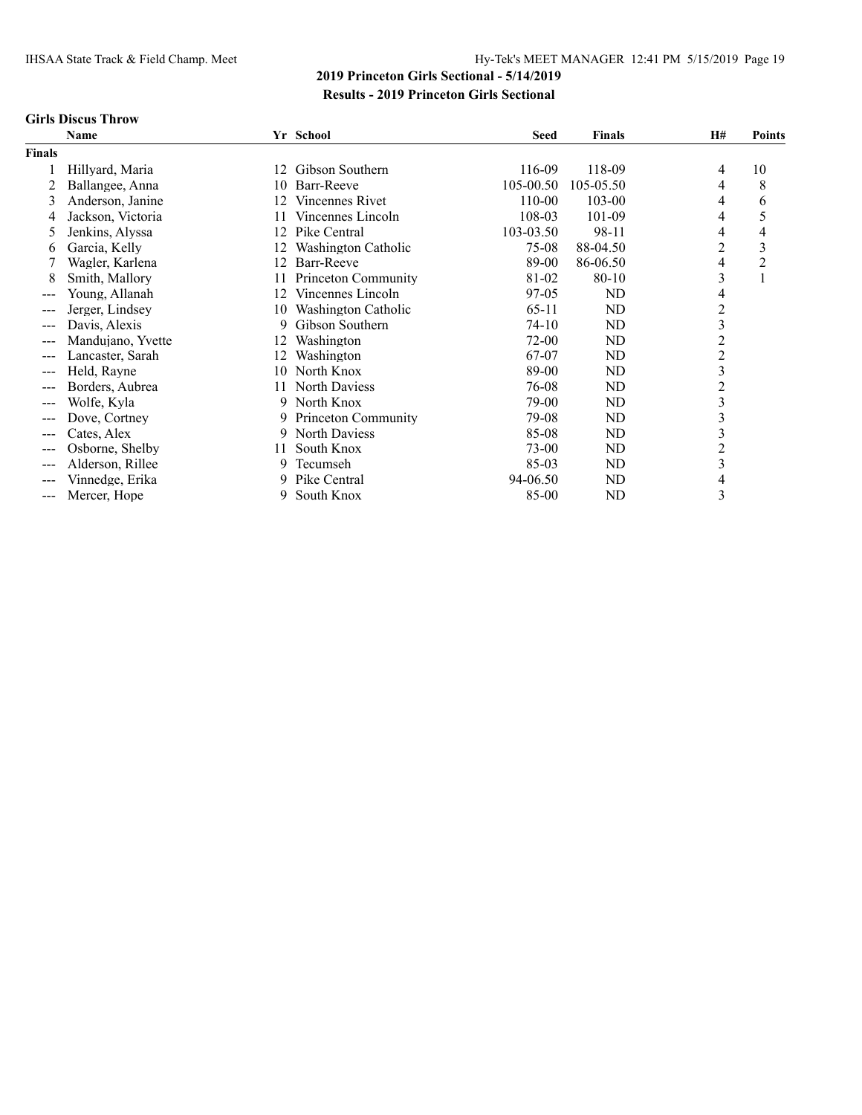#### **Girls Discus Throw**

|               | Name              |     | Yr School           | <b>Seed</b> | <b>Finals</b> | <b>H#</b>               | <b>Points</b> |
|---------------|-------------------|-----|---------------------|-------------|---------------|-------------------------|---------------|
| <b>Finals</b> |                   |     |                     |             |               |                         |               |
|               | Hillyard, Maria   | 12  | Gibson Southern     | 116-09      | 118-09        | 4                       | 10            |
|               | Ballangee, Anna   | 10  | Barr-Reeve          | 105-00.50   | 105-05.50     | 4                       | 8             |
| 3             | Anderson, Janine  | 12  | Vincennes Rivet     | 110-00      | 103-00        | 4                       | 6             |
| 4             | Jackson, Victoria | 11  | Vincennes Lincoln   | 108-03      | 101-09        | 4                       | 5             |
| 5             | Jenkins, Alyssa   | 12  | Pike Central        | 103-03.50   | 98-11         | 4                       | 4             |
| 6             | Garcia, Kelly     | 12. | Washington Catholic | 75-08       | 88-04.50      | 2                       | 3             |
|               | Wagler, Karlena   | 12  | Barr-Reeve          | 89-00       | 86-06.50      | 4                       | 2             |
| 8             | Smith, Mallory    | 11  | Princeton Community | 81-02       | 80-10         | 3                       | 1             |
| ---           | Young, Allanah    | 12  | Vincennes Lincoln   | 97-05       | ND            | 4                       |               |
| $---$         | Jerger, Lindsey   | 10  | Washington Catholic | $65-11$     | ND            | $\overline{c}$          |               |
| ---           | Davis, Alexis     | 9   | Gibson Southern     | 74-10       | ND            | $\overline{\mathbf{3}}$ |               |
|               | Mandujano, Yvette | 12  | Washington          | 72-00       | ND            | $\overline{c}$          |               |
| ---           | Lancaster, Sarah  | 12  | Washington          | 67-07       | ND            | $\overline{c}$          |               |
| $---$         | Held, Rayne       | 10  | North Knox          | 89-00       | ND            | 3                       |               |
| ---           | Borders, Aubrea   | 11  | North Daviess       | 76-08       | ND            | $\overline{c}$          |               |
| ---           | Wolfe, Kyla       | 9.  | North Knox          | 79-00       | ND            | 3                       |               |
| ---           | Dove, Cortney     | 9   | Princeton Community | 79-08       | ND            | 3                       |               |
| ---           | Cates, Alex       | 9   | North Daviess       | 85-08       | ND            | 3                       |               |
| ---           | Osborne, Shelby   | 11  | South Knox          | 73-00       | ND            | $\overline{c}$          |               |
| $---$         | Alderson, Rillee  | 9   | Tecumseh            | 85-03       | ND            | 3                       |               |
| ---           | Vinnedge, Erika   | 9   | Pike Central        | 94-06.50    | ND            | 4                       |               |
| $--$          | Mercer, Hope      | 9   | South Knox          | 85-00       | ND            | 3                       |               |